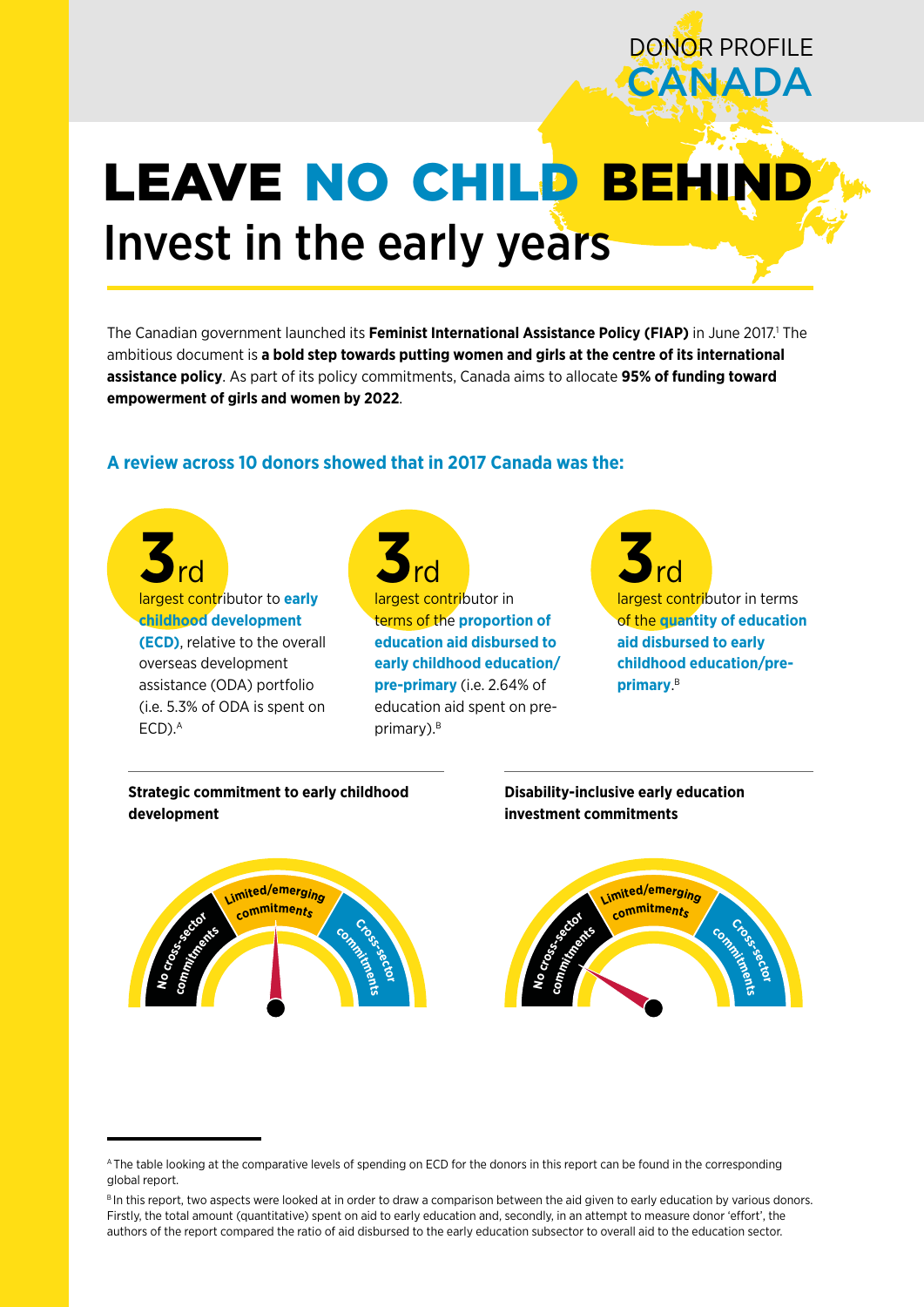# LEAVE NO CHILD BEHI Invest in the early years

The Canadian government launched its Feminist International Assistance Policy (FIAP) in June 2017.<sup>1</sup> The ambitious document is **a bold step towards putting women and girls at the centre of its international assistance policy**. As part of its policy commitments, Canada aims to allocate **95% of funding toward empowerment of girls and women by 2022**.

## **A review across 10 donors showed that in 2017 Canada was the:**

**3**rd largest contributor to **early childhood development (ECD)**, relative to the overall overseas development assistance (ODA) portfolio (i.e. 5.3% of ODA is spent on  $ECD$ ). $A$ 

**3**rd largest contributor in terms of the **proportion of education aid disbursed to early childhood education/ pre-primary** (i.e. 2.64% of education aid spent on preprimary).<sup>B</sup>

**3**rd largest contributor in terms of the **quantity of education aid disbursed to early childhood education/preprimary**. B

DONOR PROFILE

**GANADA** 

**Strategic commitment to early childhood development**

## **Disability-inclusive early education investment commitments**



A The table looking at the comparative levels of spending on ECD for the donors in this report can be found in the corresponding global report.

B In this report, two aspects were looked at in order to draw a comparison between the aid given to early education by various donors. Firstly, the total amount (quantitative) spent on aid to early education and, secondly, in an attempt to measure donor 'effort', the authors of the report compared the ratio of aid disbursed to the early education subsector to overall aid to the education sector.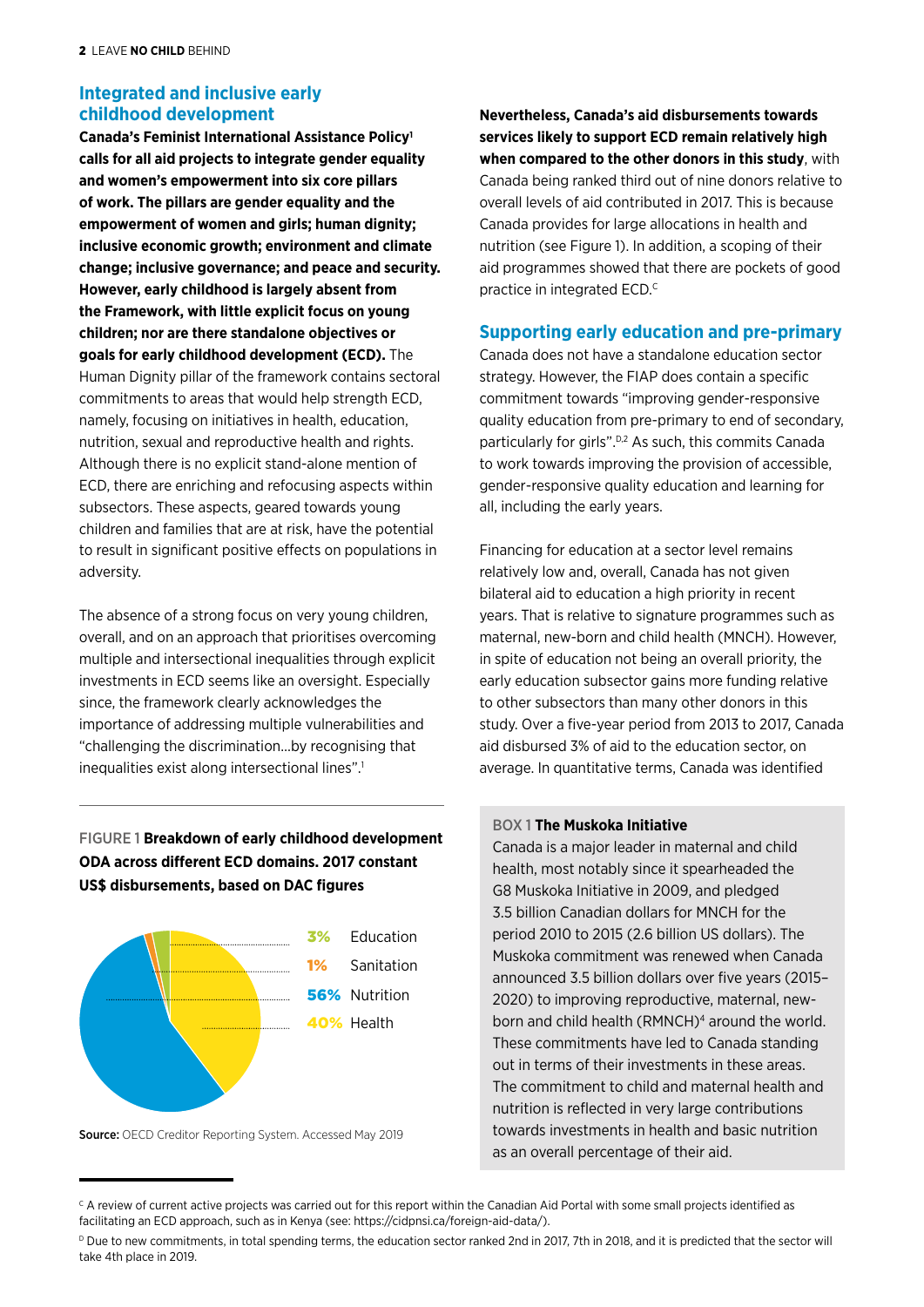# **Integrated and inclusive early childhood development**

**Canada's Feminist International Assistance Policy1 calls for all aid projects to integrate gender equality and women's empowerment into six core pillars of work. The pillars are gender equality and the empowerment of women and girls; human dignity; inclusive economic growth; environment and climate change; inclusive governance; and peace and security. However, early childhood is largely absent from the Framework, with little explicit focus on young children; nor are there standalone objectives or goals for early childhood development (ECD).** The Human Dignity pillar of the framework contains sectoral commitments to areas that would help strength ECD, namely, focusing on initiatives in health, education, nutrition, sexual and reproductive health and rights. Although there is no explicit stand-alone mention of ECD, there are enriching and refocusing aspects within subsectors. These aspects, geared towards young children and families that are at risk, have the potential to result in significant positive effects on populations in adversity.

The absence of a strong focus on very young children, overall, and on an approach that prioritises overcoming multiple and intersectional inequalities through explicit investments in ECD seems like an oversight. Especially since, the framework clearly acknowledges the importance of addressing multiple vulnerabilities and "challenging the discrimination…by recognising that inequalities exist along intersectional lines".<sup>1</sup>

## FIGURE 1 **Breakdown of early childhood development ODA across different ECD domains. 2017 constant US\$ disbursements, based on DAC figures**



Source: OECD Creditor Reporting System. Accessed May 2019

**Nevertheless, Canada's aid disbursements towards services likely to support ECD remain relatively high when compared to the other donors in this study**, with Canada being ranked third out of nine donors relative to overall levels of aid contributed in 2017. This is because Canada provides for large allocations in health and nutrition (see Figure 1). In addition, a scoping of their aid programmes showed that there are pockets of good practice in integrated ECD.<sup>c</sup>

### **Supporting early education and pre-primary**

Canada does not have a standalone education sector strategy. However, the FIAP does contain a specific commitment towards "improving gender-responsive quality education from pre-primary to end of secondary, particularly for girls".<sup>D,2</sup> As such, this commits Canada to work towards improving the provision of accessible, gender-responsive quality education and learning for all, including the early years.

Financing for education at a sector level remains relatively low and, overall, Canada has not given bilateral aid to education a high priority in recent years. That is relative to signature programmes such as maternal, new-born and child health (MNCH). However, in spite of education not being an overall priority, the early education subsector gains more funding relative to other subsectors than many other donors in this study. Over a five-year period from 2013 to 2017, Canada aid disbursed 3% of aid to the education sector, on average. In quantitative terms, Canada was identified

#### BOX 1 **The Muskoka Initiative**

Canada is a major leader in maternal and child health, most notably since it spearheaded the G8 Muskoka Initiative in 2009, and pledged 3.5 billion Canadian dollars for MNCH for the period 2010 to 2015 (2.6 billion US dollars). The Muskoka commitment was renewed when Canada announced 3.5 billion dollars over five years (2015– 2020) to improving reproductive, maternal, newborn and child health (RMNCH)4 around the world. These commitments have led to Canada standing out in terms of their investments in these areas. The commitment to child and maternal health and nutrition is reflected in very large contributions towards investments in health and basic nutrition as an overall percentage of their aid.

<sup>&</sup>lt;sup>c</sup> A review of current active projects was carried out for this report within the Canadian Aid Portal with some small projects identified as facilitating an ECD approach, such as in Kenya (see: https://cidpnsi.ca/foreign-aid-data/).

<sup>&</sup>lt;sup>D</sup> Due to new commitments, in total spending terms, the education sector ranked 2nd in 2017, 7th in 2018, and it is predicted that the sector will take 4th place in 2019.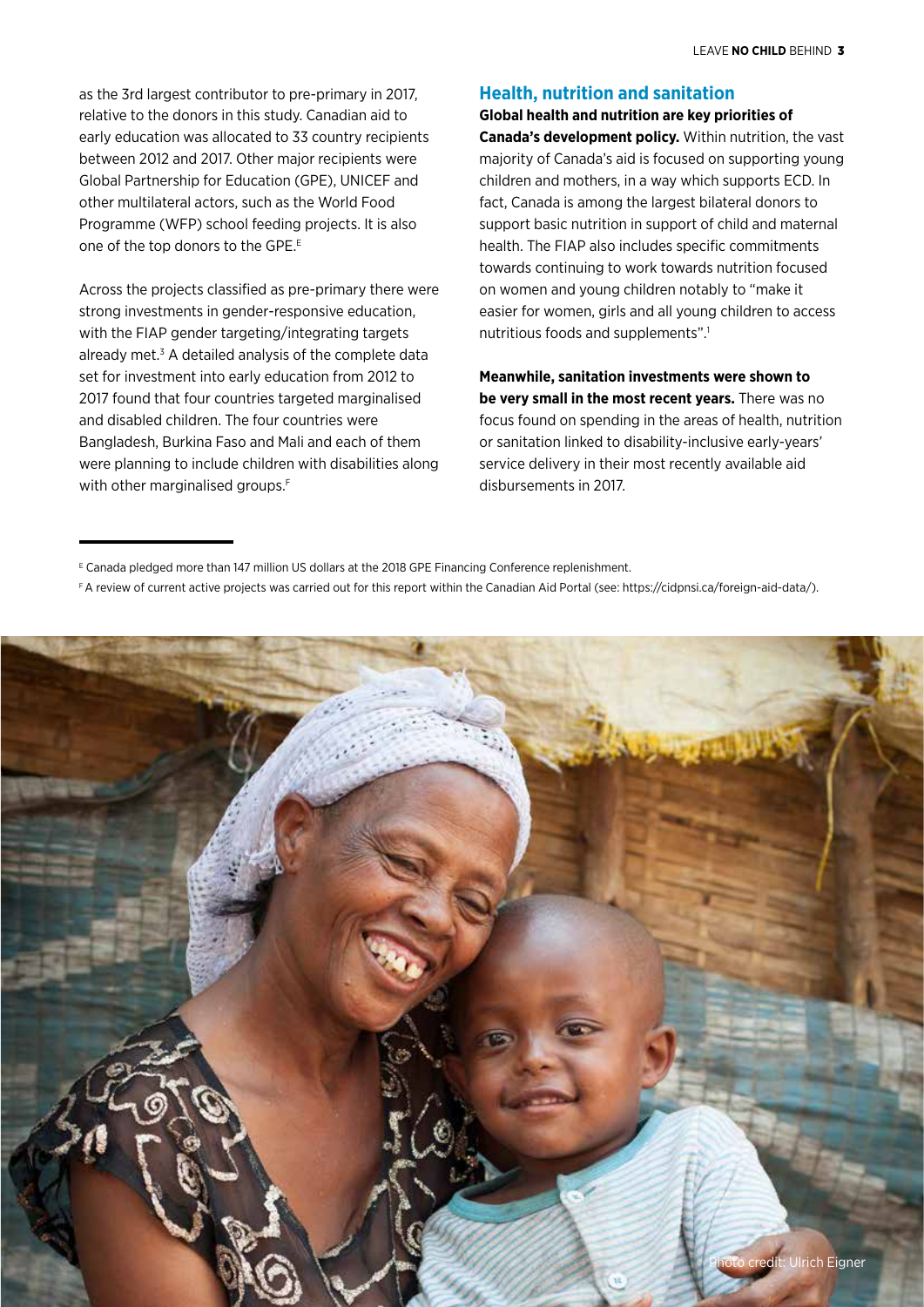as the 3rd largest contributor to pre-primary in 2017, relative to the donors in this study. Canadian aid to early education was allocated to 33 country recipients between 2012 and 2017. Other major recipients were Global Partnership for Education (GPE), UNICEF and other multilateral actors, such as the World Food Programme (WFP) school feeding projects. It is also one of the top donors to the GPE.<sup>E</sup>

Across the projects classified as pre-primary there were strong investments in gender-responsive education, with the FIAP gender targeting/integrating targets already met.<sup>3</sup> A detailed analysis of the complete data set for investment into early education from 2012 to 2017 found that four countries targeted marginalised and disabled children. The four countries were Bangladesh, Burkina Faso and Mali and each of them were planning to include children with disabilities along with other marginalised groups.<sup>F</sup>

## **Health, nutrition and sanitation**

**Global health and nutrition are key priorities of Canada's development policy.** Within nutrition, the vast majority of Canada's aid is focused on supporting young children and mothers, in a way which supports ECD. In fact, Canada is among the largest bilateral donors to support basic nutrition in support of child and maternal health. The FIAP also includes specific commitments towards continuing to work towards nutrition focused on women and young children notably to "make it easier for women, girls and all young children to access nutritious foods and supplements".<sup>1</sup>

**Meanwhile, sanitation investments were shown to be very small in the most recent years.** There was no focus found on spending in the areas of health, nutrition or sanitation linked to disability-inclusive early-years' service delivery in their most recently available aid disbursements in 2017.

F A review of current active projects was carried out for this report within the Canadian Aid Portal (see: https://cidpnsi.ca/foreign-aid-data/).



E Canada pledged more than 147 million US dollars at the 2018 GPE Financing Conference replenishment.